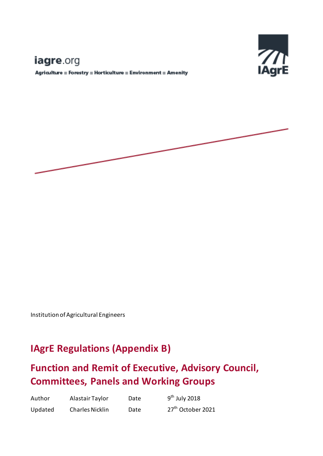# iagre.org

Agriculture = Forestry = Horticulture = Environment = Amenity



Institution of Agricultural Engineers

# **IAgrE Regulations (Appendix B)**

# **Function and Remit of Executive, Advisory Council, Committees, Panels and Working Groups**

| Author  | Alastair Taylor        | Date | $9th$ July 2018               |
|---------|------------------------|------|-------------------------------|
| Updated | <b>Charles Nicklin</b> | Date | 27 <sup>th</sup> October 2021 |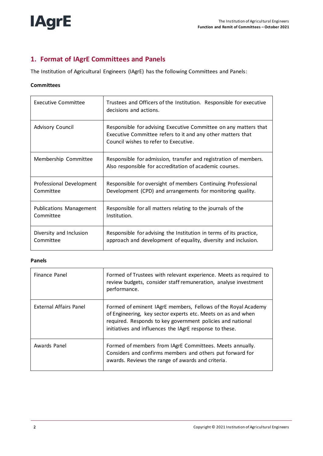

# **1. Format of IAgrE Committees and Panels**

The Institution of Agricultural Engineers (IAgrE) has the following Committees and Panels:

#### **Committees**

| Executive Committee      | Trustees and Officers of the Institution. Responsible for executive<br>decisions and actions.                                                                            |
|--------------------------|--------------------------------------------------------------------------------------------------------------------------------------------------------------------------|
| Advisory Council         | Responsible for advising Executive Committee on any matters that<br>Executive Committee refers to it and any other matters that<br>Council wishes to refer to Executive. |
| Membership Committee     | Responsible for admission, transfer and registration of members.<br>Also responsible for accreditation of academic courses.                                              |
| Professional Development | Responsible for oversight of members Continuing Professional                                                                                                             |
| Committee                | Development (CPD) and arrangements for monitoring quality.                                                                                                               |
| Publications Management  | Responsible for all matters relating to the journals of the                                                                                                              |
| Committee                | Institution.                                                                                                                                                             |
| Diversity and Inclusion  | Responsible for advising the Institution in terms of its practice,                                                                                                       |
| Committee                | approach and development of equality, diversity and inclusion.                                                                                                           |

#### **Panels**

| Finance Panel          | Formed of Trustees with relevant experience. Meets as required to<br>review budgets, consider staff remuneration, analyse investment<br>performance.                                                                                                   |
|------------------------|--------------------------------------------------------------------------------------------------------------------------------------------------------------------------------------------------------------------------------------------------------|
| External Affairs Panel | Formed of eminent IAgrE members, Fellows of the Royal Academy<br>of Engineering, key sector experts etc. Meets on as and when<br>required. Responds to key government policies and national<br>initiatives and influences the IAgrE response to these. |
| Awards Panel           | Formed of members from IAgrE Committees. Meets annually.<br>Considers and confirms members and others put forward for<br>awards. Reviews the range of awards and criteria.                                                                             |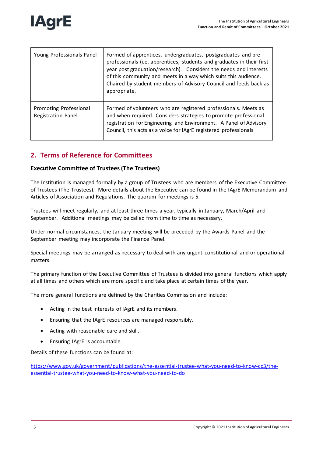

| Young Professionals Panel                    | Formed of apprentices, undergraduates, postgraduates and pre-<br>professionals (i.e. apprentices, students and graduates in their first<br>year post graduation/research). Considers the needs and interests<br>of this community and meets in a way which suits this audience.<br>Chaired by student members of Advisory Council and feeds back as<br>appropriate. |
|----------------------------------------------|---------------------------------------------------------------------------------------------------------------------------------------------------------------------------------------------------------------------------------------------------------------------------------------------------------------------------------------------------------------------|
| Promoting Professional<br>Registration Panel | Formed of volunteers who are registered professionals. Meets as<br>and when required. Considers strategies to promote professional<br>registration for Engineering and Environment. A Panel of Advisory<br>Council, this acts as a voice for IAgrE registered professionals                                                                                         |

# **2. Terms of Reference for Committees**

### **Executive Committee of Trustees (The Trustees)**

The Institution is managed formally by a group of Trustees who are members of the Executive Committee of Trustees (The Trustees). More details about the Executive can be found in the IAgrE Memorandum and Articles of Association and Regulations. The quorum for meetings is 5.

Trustees will meet regularly, and at least three times a year, typically in January, March/April and September. Additional meetings may be called from time to time as necessary.

Under normal circumstances, the January meeting will be preceded by the Awards Panel and the September meeting may incorporate the Finance Panel.

Special meetings may be arranged as necessary to deal with any urgent constitutional and or operational matters.

The primary function of the Executive Committee of Trustees is divided into general functions which apply at all times and others which are more specific and take place at certain times of the year.

The more general functions are defined by the Charities Commission and include:

- Acting in the best interests of IAgrE and its members.
- Ensuring that the IAgrE resources are managed responsibly.
- Acting with reasonable care and skill.
- Ensuring IAgrE is accountable.

Details of these functions can be found at:

[https://www.gov.uk/government/publications/the-essential-trustee-what-you-need-to-know-cc3/the](https://www.gov.uk/government/publications/the-essential-trustee-what-you-need-to-know-cc3/the-essential-trustee-what-you-need-to-know-what-you-need-to-do)[essential-trustee-what-you-need-to-know-what-you-need-to-do](https://www.gov.uk/government/publications/the-essential-trustee-what-you-need-to-know-cc3/the-essential-trustee-what-you-need-to-know-what-you-need-to-do)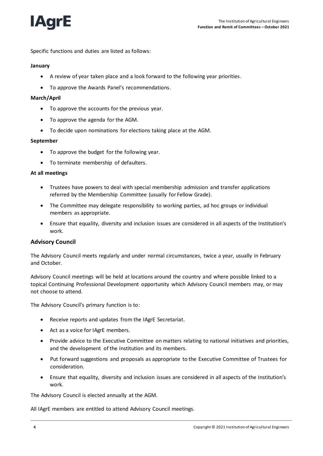

Specific functions and duties are listed as follows:

#### **January**

- A review of year taken place and a look forward to the following year priorities.
- To approve the Awards Panel's recommendations.

#### **March/April**

- To approve the accounts for the previous year.
- To approve the agenda for the AGM.
- To decide upon nominations for elections taking place at the AGM.

#### **September**

- To approve the budget for the following year.
- To terminate membership of defaulters.

#### **At all meetings**

- Trustees have powers to deal with special membership admission and transfer applications referred by the Membership Committee (usually for Fellow Grade).
- The Committee may delegate responsibility to working parties, ad hoc groups or individual members as appropriate.
- Ensure that equality, diversity and inclusion issues are considered in all aspects of the Institution's work.

#### **Advisory Council**

The Advisory Council meets regularly and under normal circumstances, twice a year, usually in February and October.

Advisory Council meetings will be held at locations around the country and where possible linked to a topical Continuing Professional Development opportunity which Advisory Council members may, or may not choose to attend.

The Advisory Council's primary function is to:

- Receive reports and updates from the IAgrE Secretariat.
- Act as a voice for IAgrE members.
- Provide advice to the Executive Committee on matters relating to national initiatives and priorities, and the development of the Institution and its members.
- Put forward suggestions and proposals as appropriate to the Executive Committee of Trustees for consideration.
- Ensure that equality, diversity and inclusion issues are considered in all aspects of the Institution's work.

The Advisory Council is elected annually at the AGM.

All IAgrE members are entitled to attend Advisory Council meetings.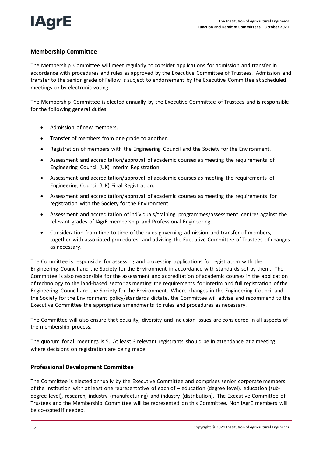

### **Membership Committee**

The Membership Committee will meet regularly to consider applications for admission and transfer in accordance with procedures and rules as approved by the Executive Committee of Trustees. Admission and transfer to the senior grade of Fellow is subject to endorsement by the Executive Committee at scheduled meetings or by electronic voting.

The Membership Committee is elected annually by the Executive Committee of Trustees and is responsible for the following general duties:

- Admission of new members.
- Transfer of members from one grade to another.
- Registration of members with the Engineering Council and the Society for the Environment.
- Assessment and accreditation/approval of academic courses as meeting the requirements of Engineering Council (UK) Interim Registration.
- Assessment and accreditation/approval of academic courses as meeting the requirements of Engineering Council (UK) Final Registration.
- Assessment and accreditation/approval of academic courses as meeting the requirements for registration with the Society for the Environment.
- Assessment and accreditation of individuals/training programmes/assessment centres against the relevant grades of IAgrE membership and Professional Engineering.
- Consideration from time to time of the rules governing admission and transfer of members, together with associated procedures, and advising the Executive Committee of Trustees of changes as necessary.

The Committee is responsible for assessing and processing applications for registration with the Engineering Council and the Society for the Environment in accordance with standards set by them. The Committee is also responsible for the assessment and accreditation of academic courses in the application of technology to the land-based sector as meeting the requirements for interim and full registration of the Engineering Council and the Society for the Environment. Where changes in the Engineering Council and the Society for the Environment policy/standards dictate, the Committee will advise and recommend to the Executive Committee the appropriate amendments to rules and procedures as necessary.

The Committee will also ensure that equality, diversity and inclusion issues are considered in all aspects of the membership process.

The quorum for all meetings is 5. At least 3 relevant registrants should be in attendance at a meeting where decisions on registration are being made.

### **Professional Development Committee**

The Committee is elected annually by the Executive Committee and comprises senior corporate members of the Institution with at least one representative of each of – education (degree level), education (subdegree level), research, industry (manufacturing) and industry (distribution). The Executive Committee of Trustees and the Membership Committee will be represented on this Committee. Non IAgrE members will be co-opted if needed.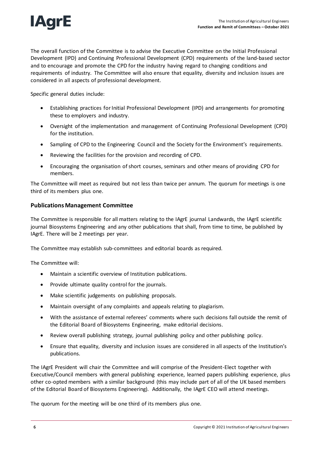

The overall function of the Committee is to advise the Executive Committee on the Initial Professional Development (IPD) and Continuing Professional Development (CPD) requirements of the land-based sector and to encourage and promote the CPD for the industry having regard to changing conditions and requirements of industry. The Committee will also ensure that equality, diversity and inclusion issues are considered in all aspects of professional development.

Specific general duties include:

- Establishing practices for Initial Professional Development (IPD) and arrangements for promoting these to employers and industry.
- Oversight of the implementation and management of Continuing Professional Development (CPD) for the institution.
- Sampling of CPD to the Engineering Council and the Society for the Environment's requirements.
- Reviewing the facilities for the provision and recording of CPD.
- Encouraging the organisation of short courses, seminars and other means of providing CPD for members.

The Committee will meet as required but not less than twice per annum. The quorum for meetings is one third of its members plus one.

#### **Publications Management Committee**

The Committee is responsible for all matters relating to the IAgrE journal Landwards, the IAgrE scientific journal Biosystems Engineering and any other publications that shall, from time to time, be published by IAgrE. There will be 2 meetings per year.

The Committee may establish sub-committees and editorial boards as required.

The Committee will:

- Maintain a scientific overview of Institution publications.
- Provide ultimate quality control for the journals.
- Make scientific judgements on publishing proposals.
- Maintain oversight of any complaints and appeals relating to plagiarism.
- With the assistance of external referees' comments where such decisions fall outside the remit of the Editorial Board of Biosystems Engineering, make editorial decisions.
- Review overall publishing strategy, journal publishing policy and other publishing policy.
- Ensure that equality, diversity and inclusion issues are considered in all aspects of the Institution's publications.

The IAgrE President will chair the Committee and will comprise of the President-Elect together with Executive/Council members with general publishing experience, learned papers publishing experience, plus other co-opted members with a similar background (this may include part of all of the UK based members of the Editorial Board of Biosystems Engineering). Additionally, the IAgrE CEO will attend meetings.

The quorum for the meeting will be one third of its members plus one.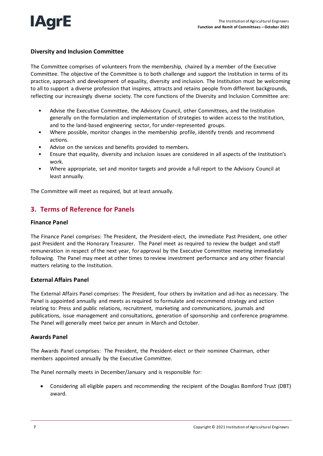

#### **Diversity and Inclusion Committee**

The Committee comprises of volunteers from the membership, chaired by a member of the Executive Committee. The objective of the Committee is to both challenge and support the Institution in terms of its practice, approach and development of equality, diversity and inclusion. The Institution must be welcoming to all to support a diverse profession that inspires, attracts and retains people from different backgrounds, reflecting our increasingly diverse society. The core functions of the Diversity and Inclusion Committee are:

- Advise the Executive Committee, the Advisory Council, other Committees, and the Institution generally on the formulation and implementation of strategies to widen access to the Institution, and to the land-based engineering sector, for under-represented groups.
- Where possible, monitor changes in the membership profile, identify trends and recommend actions.
- Advise on the services and benefits provided to members.
- Ensure that equality, diversity and inclusion issues are considered in all aspects of the Institution's work.
- Where appropriate, set and monitor targets and provide a full report to the Advisory Council at least annually.

The Committee will meet as required, but at least annually.

# **3. Terms of Reference for Panels**

#### **Finance Panel**

The Finance Panel comprises: The President, the President-elect, the immediate Past President, one other past President and the Honorary Treasurer. The Panel meet as required to review the budget and staff remuneration in respect of the next year, for approval by the Executive Committee meeting immediately following. The Panel may meet at other times to review investment performance and any other financial matters relating to the Institution.

#### **External Affairs Panel**

The External Affairs Panel comprises: The President, four others by invitation and ad-hoc as necessary. The Panel is appointed annually and meets as required to formulate and recommend strategy and action relating to: Press and public relations, recruitment, marketing and communications, journals and publications, issue management and consultations, generation of sponsorship and conference programme. The Panel will generally meet twice per annum in March and October.

#### **Awards Panel**

The Awards Panel comprises: The President, the President-elect or their nominee Chairman, other members appointed annually by the Executive Committee.

The Panel normally meets in December/January and is responsible for:

 Considering all eligible papers and recommending the recipient of the Douglas Bomford Trust (DBT) award.